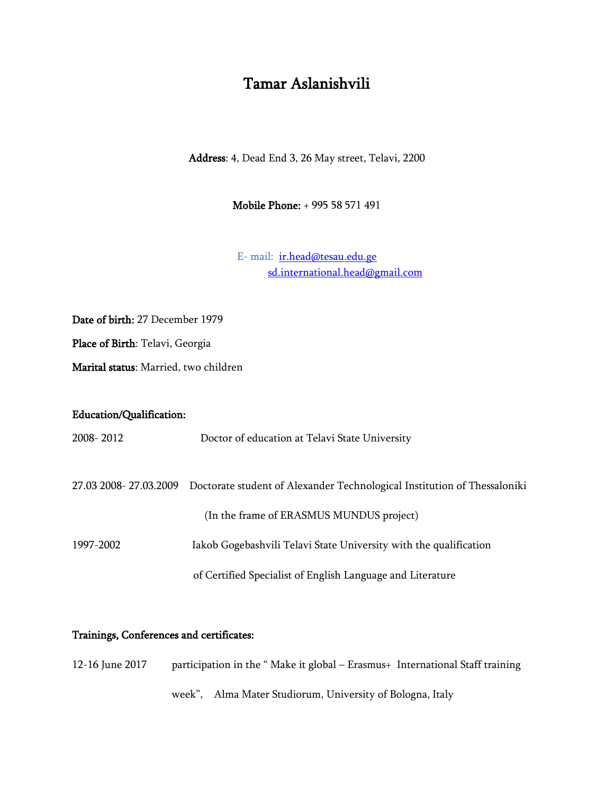# Tamar Aslanishvili

Address: 4, Dead End 3, 26 May street, Telavi, 2200

Mobile Phone: + 995 58 571 491

E- mail: [ir.head@tesau.edu.ge](mailto:ir.head@tesau.edu.ge) [sd.international.head@gmail.com](mailto:sd.international.head@gmail.com)

Date of birth: 27 December 1979

Place of Birth: Telavi, Georgia

Marital status: Married, two children

### Education/Qualification:

2008- 2012 Doctor of education at Telavi State University

27.03 2008- 27.03.2009 Doctorate student of Alexander Technological Institution of Thessaloniki

(In the frame of ERASMUS MUNDUS project)

1997-2002 Iakob Gogebashvili Telavi State University with the qualification

of Certified Specialist of English Language and Literature

#### Trainings, Conferences and certificates:

| 12-16 June 2017 | participation in the "Make it global – Erasmus + International Staff training |  |
|-----------------|-------------------------------------------------------------------------------|--|
|                 | week", Alma Mater Studiorum, University of Bologna, Italy                     |  |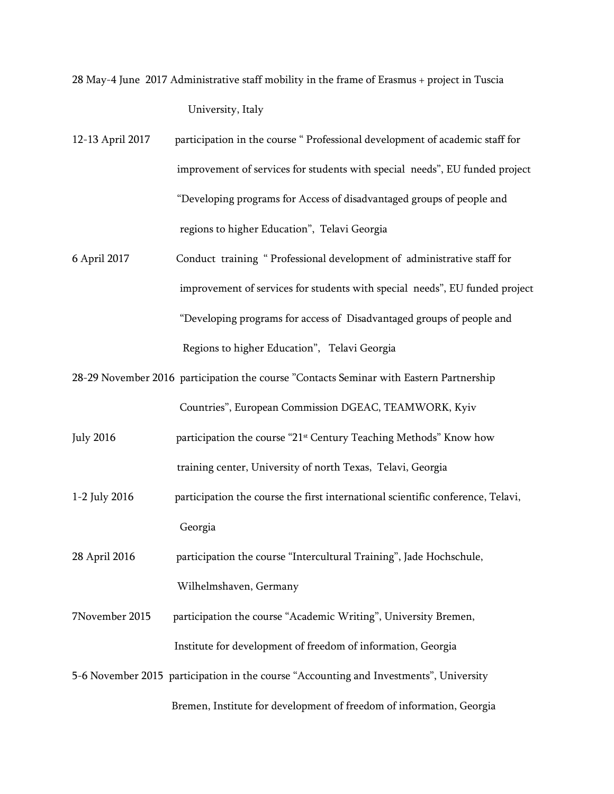28 May-4 June 2017 Administrative staff mobility in the frame of Erasmus + project in Tuscia University, Italy

- 12-13 April 2017 participation in the course " Professional development of academic staff for improvement of services for students with special needs", EU funded project "Developing programs for Access of disadvantaged groups of people and regions to higher Education", Telavi Georgia
- 6 April 2017 Conduct training " Professional development of administrative staff for improvement of services for students with special needs", EU funded project "Developing programs for access of Disadvantaged groups of people and Regions to higher Education", Telavi Georgia
- 28-29 November 2016 participation the course "Contacts Seminar with Eastern Partnership Countries", European Commission DGEAC, TEAMWORK, Kyiv
- July 2016 participation the course "21st Century Teaching Methods" Know how training center, University of north Texas, Telavi, Georgia
- 1-2 July 2016 participation the course the first international scientific conference, Telavi, Georgia

28 April 2016 participation the course "Intercultural Training", Jade Hochschule, Wilhelmshaven, Germany

- 7November 2015 participation the course "Academic Writing", University Bremen, Institute for development of freedom of information, Georgia
- 5-6 November 2015 participation in the course "Accounting and Investments", University Bremen, Institute for development of freedom of information, Georgia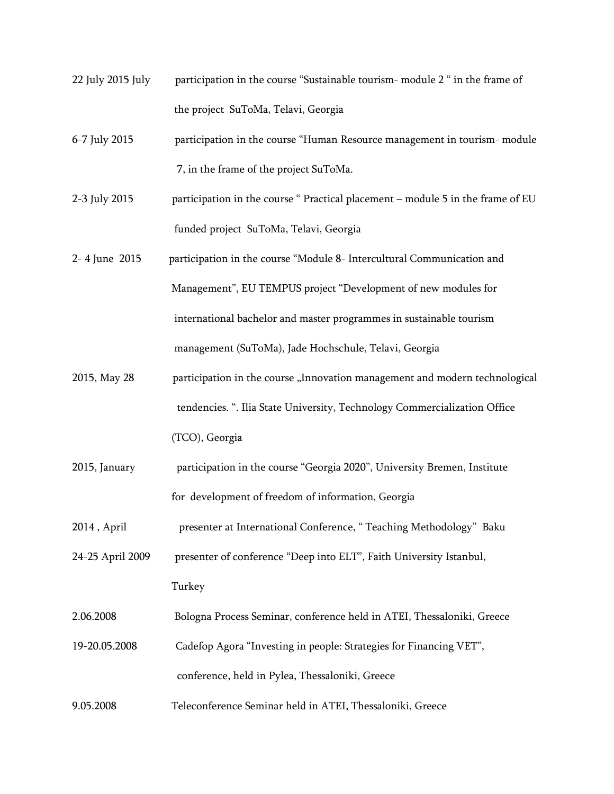- 22 July 2015 July participation in the course "Sustainable tourism- module 2 " in the frame of the project SuToMa, Telavi, Georgia
- 6-7 July 2015 participation in the course "Human Resource management in tourism- module 7, in the frame of the project SuToMa.
- 2-3 July 2015 participation in the course " Practical placement module 5 in the frame of EU funded project SuToMa, Telavi, Georgia
- 2- 4 June 2015 participation in the course "Module 8- Intercultural Communication and Management", EU TEMPUS project "Development of new modules for international bachelor and master programmes in sustainable tourism management (SuToMa), Jade Hochschule, Telavi, Georgia
- 2015, May 28 participation in the course "Innovation management and modern technological tendencies. ". Ilia State University, Technology Commercialization Office (TCO), Georgia
- 2015, January participation in the course "Georgia 2020", University Bremen, Institute for development of freedom of information, Georgia
- 2014 , April presenter at International Conference, " Teaching Methodology" Baku

24-25 April 2009 presenter of conference "Deep into ELT", Faith University Istanbul, Turkey

- 2.06.2008 Bologna Process Seminar, conference held in ATEI, Thessaloniki, Greece
- 19-20.05.2008 Cadefop Agora "Investing in people: Strategies for Financing VET", conference, held in Pylea, Thessaloniki, Greece
- 9.05.2008 Teleconference Seminar held in ATEI, Thessaloniki, Greece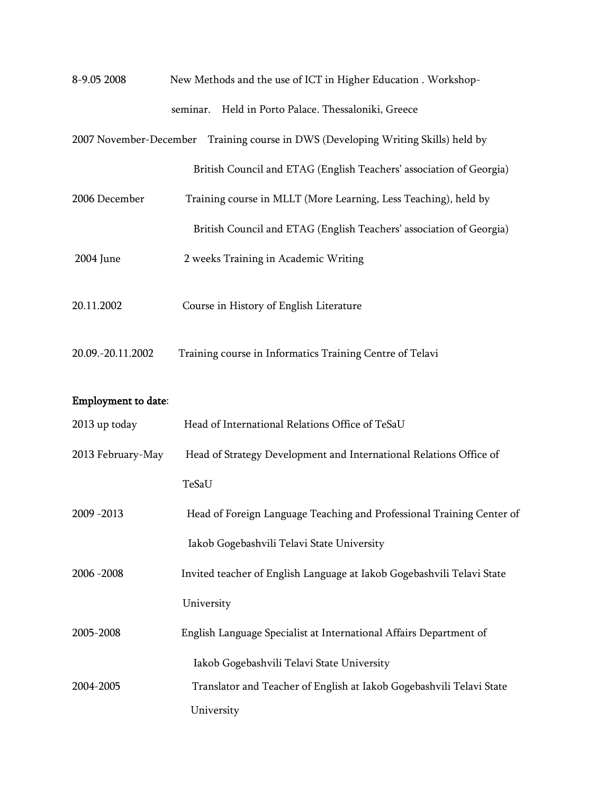| 8-9.05 2008                | New Methods and the use of ICT in Higher Education . Workshop-                    |
|----------------------------|-----------------------------------------------------------------------------------|
|                            | Held in Porto Palace. Thessaloniki, Greece<br>seminar.                            |
|                            | 2007 November-December Training course in DWS (Developing Writing Skills) held by |
|                            | British Council and ETAG (English Teachers' association of Georgia)               |
| 2006 December              | Training course in MLLT (More Learning, Less Teaching), held by                   |
|                            | British Council and ETAG (English Teachers' association of Georgia)               |
| 2004 June                  | 2 weeks Training in Academic Writing                                              |
| 20.11.2002                 | Course in History of English Literature                                           |
| 20.09.-20.11.2002          | Training course in Informatics Training Centre of Telavi                          |
| <b>Employment to date:</b> |                                                                                   |
| 2013 up today              | Head of International Relations Office of TeSaU                                   |
| 2013 February-May          | Head of Strategy Development and International Relations Office of                |
|                            | TeSaU                                                                             |
| 2009 - 2013                | Head of Foreign Language Teaching and Professional Training Center of             |
|                            | Iakob Gogebashvili Telavi State University                                        |
| 2006 - 2008                | Invited teacher of English Language at Iakob Gogebashvili Telavi State            |
|                            | University                                                                        |
| 2005-2008                  | English Language Specialist at International Affairs Department of                |
|                            | Iakob Gogebashvili Telavi State University                                        |
| 2004-2005                  | Translator and Teacher of English at Iakob Gogebashvili Telavi State              |
|                            | University                                                                        |